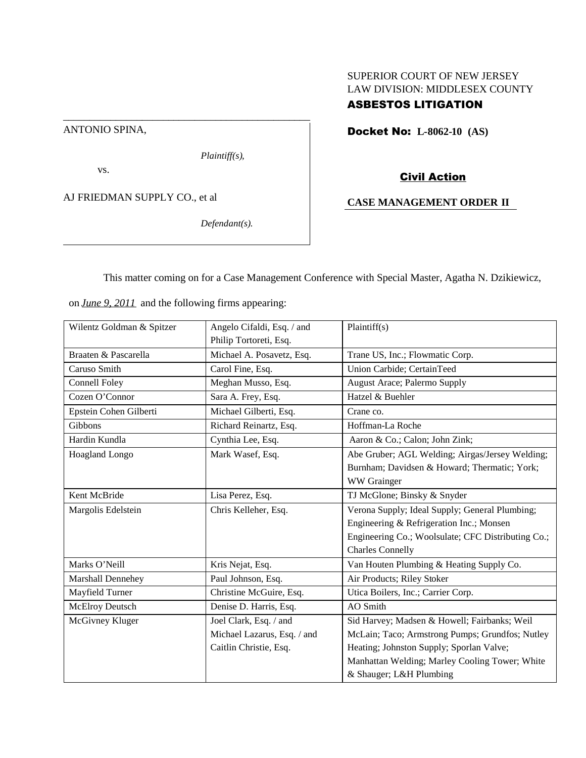## SUPERIOR COURT OF NEW JERSEY LAW DIVISION: MIDDLESEX COUNTY

# ASBESTOS LITIGATION

Docket No: **L-8062-10 (AS)**

ANTONIO SPINA,

*Plaintiff(s),*

vs.

AJ FRIEDMAN SUPPLY CO., et al

*Defendant(s).*

Civil Action

## **CASE MANAGEMENT ORDER II**

This matter coming on for a Case Management Conference with Special Master, Agatha N. Dzikiewicz,

on *June 9, 2011* and the following firms appearing:

\_\_\_\_\_\_\_\_\_\_\_\_\_\_\_\_\_\_\_\_\_\_\_\_\_\_\_\_\_\_\_\_\_\_\_\_\_\_\_\_\_\_\_\_\_\_\_

| Wilentz Goldman & Spitzer | Angelo Cifaldi, Esq. / and  | Plaintiff(s)                                       |
|---------------------------|-----------------------------|----------------------------------------------------|
|                           | Philip Tortoreti, Esq.      |                                                    |
| Braaten & Pascarella      | Michael A. Posavetz, Esq.   | Trane US, Inc.; Flowmatic Corp.                    |
| Caruso Smith              | Carol Fine, Esq.            | Union Carbide; CertainTeed                         |
| Connell Foley             | Meghan Musso, Esq.          | August Arace; Palermo Supply                       |
| Cozen O'Connor            | Sara A. Frey, Esq.          | Hatzel & Buehler                                   |
| Epstein Cohen Gilberti    | Michael Gilberti, Esq.      | Crane co.                                          |
| Gibbons                   | Richard Reinartz, Esq.      | Hoffman-La Roche                                   |
| Hardin Kundla             | Cynthia Lee, Esq.           | Aaron & Co.; Calon; John Zink;                     |
| Hoagland Longo            | Mark Wasef, Esq.            | Abe Gruber; AGL Welding; Airgas/Jersey Welding;    |
|                           |                             | Burnham; Davidsen & Howard; Thermatic; York;       |
|                           |                             | WW Grainger                                        |
| Kent McBride              | Lisa Perez, Esq.            | TJ McGlone; Binsky & Snyder                        |
| Margolis Edelstein        | Chris Kelleher, Esq.        | Verona Supply; Ideal Supply; General Plumbing;     |
|                           |                             | Engineering & Refrigeration Inc.; Monsen           |
|                           |                             | Engineering Co.; Woolsulate; CFC Distributing Co.; |
|                           |                             | <b>Charles Connelly</b>                            |
| Marks O'Neill             | Kris Nejat, Esq.            | Van Houten Plumbing & Heating Supply Co.           |
| Marshall Dennehey         | Paul Johnson, Esq.          | Air Products; Riley Stoker                         |
| Mayfield Turner           | Christine McGuire, Esq.     | Utica Boilers, Inc.; Carrier Corp.                 |
| McElroy Deutsch           | Denise D. Harris, Esq.      | AO Smith                                           |
| McGivney Kluger           | Joel Clark, Esq. / and      | Sid Harvey; Madsen & Howell; Fairbanks; Weil       |
|                           | Michael Lazarus, Esq. / and | McLain; Taco; Armstrong Pumps; Grundfos; Nutley    |
|                           | Caitlin Christie, Esq.      | Heating; Johnston Supply; Sporlan Valve;           |
|                           |                             | Manhattan Welding; Marley Cooling Tower; White     |
|                           |                             | & Shauger; L&H Plumbing                            |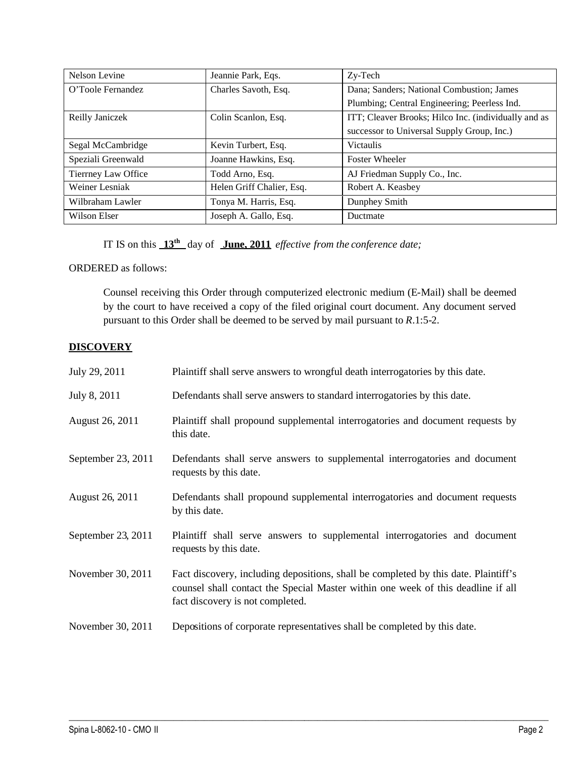| Nelson Levine       | Jeannie Park, Eqs.        | Zy-Tech                                              |
|---------------------|---------------------------|------------------------------------------------------|
| O'Toole Fernandez   | Charles Savoth, Esq.      | Dana; Sanders; National Combustion; James            |
|                     |                           | Plumbing; Central Engineering; Peerless Ind.         |
| Reilly Janiczek     | Colin Scanlon, Esq.       | ITT; Cleaver Brooks; Hilco Inc. (individually and as |
|                     |                           | successor to Universal Supply Group, Inc.)           |
| Segal McCambridge   | Kevin Turbert, Esq.       | <b>Victaulis</b>                                     |
| Speziali Greenwald  | Joanne Hawkins, Esq.      | <b>Foster Wheeler</b>                                |
| Tierrney Law Office | Todd Arno, Esq.           | AJ Friedman Supply Co., Inc.                         |
| Weiner Lesniak      | Helen Griff Chalier, Esq. | Robert A. Keasbey                                    |
| Wilbraham Lawler    | Tonya M. Harris, Esq.     | Dunphey Smith                                        |
| Wilson Elser        | Joseph A. Gallo, Esq.     | Ductmate                                             |

IT IS on this **13th** day of **June, 2011** *effective from the conference date;*

ORDERED as follows:

Counsel receiving this Order through computerized electronic medium (E-Mail) shall be deemed by the court to have received a copy of the filed original court document. Any document served pursuant to this Order shall be deemed to be served by mail pursuant to *R*.1:5-2.

## **DISCOVERY**

| July 29, 2011      | Plaintiff shall serve answers to wrongful death interrogatories by this date.                                                                                                                               |
|--------------------|-------------------------------------------------------------------------------------------------------------------------------------------------------------------------------------------------------------|
| July 8, 2011       | Defendants shall serve answers to standard interrogatories by this date.                                                                                                                                    |
| August 26, 2011    | Plaintiff shall propound supplemental interrogatories and document requests by<br>this date.                                                                                                                |
| September 23, 2011 | Defendants shall serve answers to supplemental interrogatories and document<br>requests by this date.                                                                                                       |
| August 26, 2011    | Defendants shall propound supplemental interrogatories and document requests<br>by this date.                                                                                                               |
| September 23, 2011 | Plaintiff shall serve answers to supplemental interrogatories and document<br>requests by this date.                                                                                                        |
| November 30, 2011  | Fact discovery, including depositions, shall be completed by this date. Plaintiff's<br>counsel shall contact the Special Master within one week of this deadline if all<br>fact discovery is not completed. |
| November 30, 2011  | Depositions of corporate representatives shall be completed by this date.                                                                                                                                   |

 $\_$  ,  $\_$  ,  $\_$  ,  $\_$  ,  $\_$  ,  $\_$  ,  $\_$  ,  $\_$  ,  $\_$  ,  $\_$  ,  $\_$  ,  $\_$  ,  $\_$  ,  $\_$  ,  $\_$  ,  $\_$  ,  $\_$  ,  $\_$  ,  $\_$  ,  $\_$  ,  $\_$  ,  $\_$  ,  $\_$  ,  $\_$  ,  $\_$  ,  $\_$  ,  $\_$  ,  $\_$  ,  $\_$  ,  $\_$  ,  $\_$  ,  $\_$  ,  $\_$  ,  $\_$  ,  $\_$  ,  $\_$  ,  $\_$  ,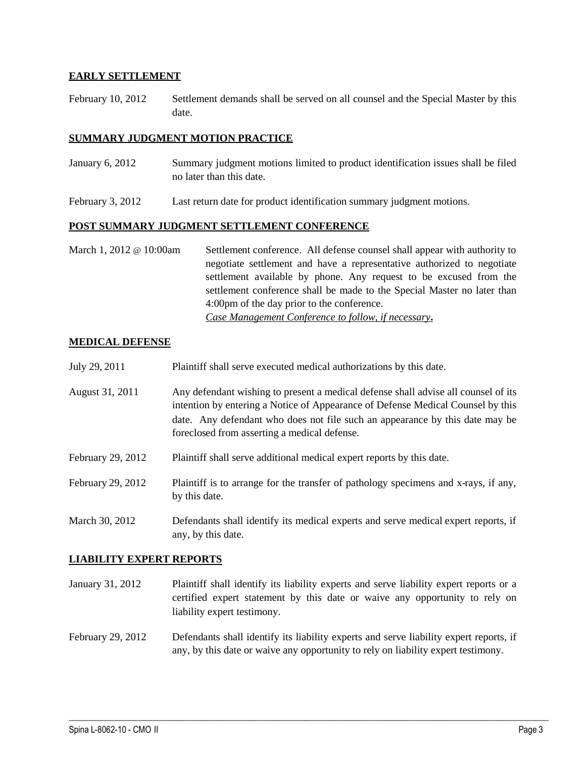## **EARLY SETTLEMENT**

February 10, 2012 Settlement demands shall be served on all counsel and the Special Master by this date.

#### **SUMMARY JUDGMENT MOTION PRACTICE**

- January 6, 2012 Summary judgment motions limited to product identification issues shall be filed no later than this date.
- February 3, 2012 Last return date for product identification summary judgment motions.

#### **POST SUMMARY JUDGMENT SETTLEMENT CONFERENCE**

March 1, 2012 @ 10:00am Settlement conference. All defense counsel shall appear with authority to negotiate settlement and have a representative authorized to negotiate settlement available by phone. Any request to be excused from the settlement conference shall be made to the Special Master no later than 4:00pm of the day prior to the conference. *Case Management Conference to follow, if necessary***.**

## **MEDICAL DEFENSE**

- July 29, 2011 Plaintiff shall serve executed medical authorizations by this date.
- August 31, 2011 Any defendant wishing to present a medical defense shall advise all counsel of its intention by entering a Notice of Appearance of Defense Medical Counsel by this date. Any defendant who does not file such an appearance by this date may be foreclosed from asserting a medical defense.
- February 29, 2012 Plaintiff shall serve additional medical expert reports by this date.
- February 29, 2012 Plaintiff is to arrange for the transfer of pathology specimens and x-rays, if any, by this date.
- March 30, 2012 Defendants shall identify its medical experts and serve medical expert reports, if any, by this date.

#### **LIABILITY EXPERT REPORTS**

- January 31, 2012 Plaintiff shall identify its liability experts and serve liability expert reports or a certified expert statement by this date or waive any opportunity to rely on liability expert testimony.
- February 29, 2012 Defendants shall identify its liability experts and serve liability expert reports, if any, by this date or waive any opportunity to rely on liability expert testimony.

 $\_$  ,  $\_$  ,  $\_$  ,  $\_$  ,  $\_$  ,  $\_$  ,  $\_$  ,  $\_$  ,  $\_$  ,  $\_$  ,  $\_$  ,  $\_$  ,  $\_$  ,  $\_$  ,  $\_$  ,  $\_$  ,  $\_$  ,  $\_$  ,  $\_$  ,  $\_$  ,  $\_$  ,  $\_$  ,  $\_$  ,  $\_$  ,  $\_$  ,  $\_$  ,  $\_$  ,  $\_$  ,  $\_$  ,  $\_$  ,  $\_$  ,  $\_$  ,  $\_$  ,  $\_$  ,  $\_$  ,  $\_$  ,  $\_$  ,